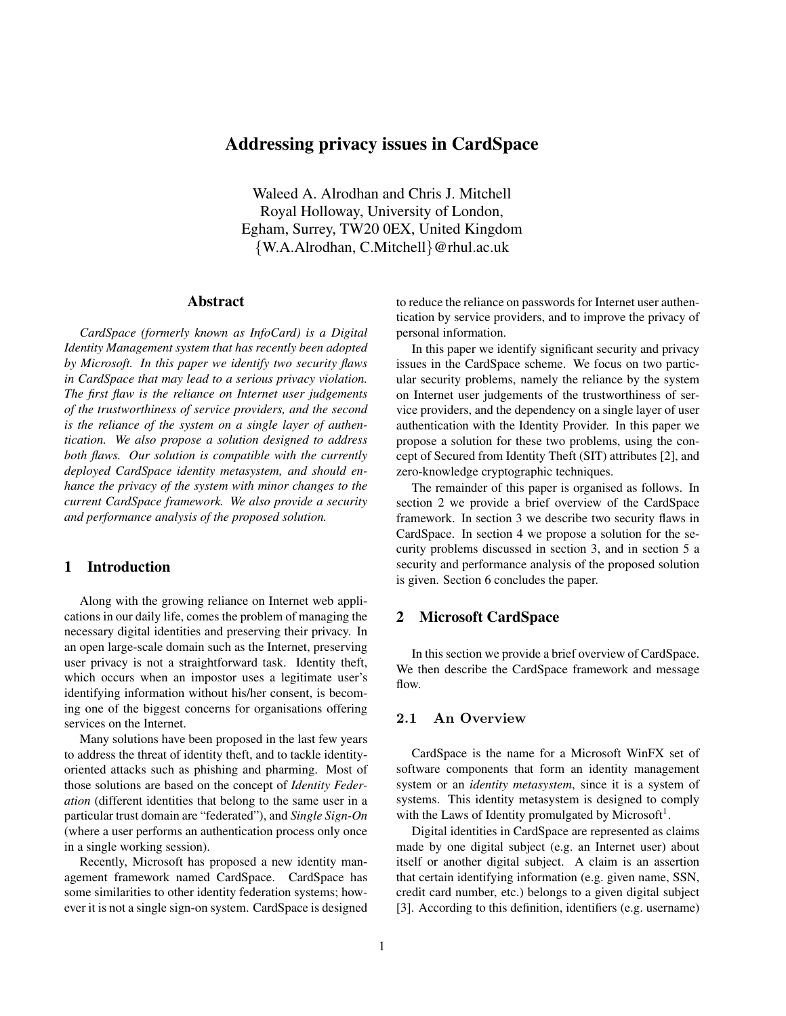# Addressing privacy issues in CardSpace

Waleed A. Alrodhan and Chris J. Mitchell Royal Holloway, University of London, Egham, Surrey, TW20 0EX, United Kingdom {W.A.Alrodhan, C.Mitchell}@rhul.ac.uk

## Abstract

*CardSpace (formerly known as InfoCard) is a Digital Identity Management system that has recently been adopted by Microsoft. In this paper we identify two security flaws in CardSpace that may lead to a serious privacy violation. The first flaw is the reliance on Internet user judgements of the trustworthiness of service providers, and the second is the reliance of the system on a single layer of authentication. We also propose a solution designed to address both flaws. Our solution is compatible with the currently deployed CardSpace identity metasystem, and should enhance the privacy of the system with minor changes to the current CardSpace framework. We also provide a security and performance analysis of the proposed solution.*

# 1 Introduction

Along with the growing reliance on Internet web applications in our daily life, comes the problem of managing the necessary digital identities and preserving their privacy. In an open large-scale domain such as the Internet, preserving user privacy is not a straightforward task. Identity theft, which occurs when an impostor uses a legitimate user's identifying information without his/her consent, is becoming one of the biggest concerns for organisations offering services on the Internet.

Many solutions have been proposed in the last few years to address the threat of identity theft, and to tackle identityoriented attacks such as phishing and pharming. Most of those solutions are based on the concept of *Identity Federation* (different identities that belong to the same user in a particular trust domain are "federated"), and *Single Sign-On* (where a user performs an authentication process only once in a single working session).

Recently, Microsoft has proposed a new identity management framework named CardSpace. CardSpace has some similarities to other identity federation systems; however it is not a single sign-on system. CardSpace is designed to reduce the reliance on passwords for Internet user authentication by service providers, and to improve the privacy of personal information.

In this paper we identify significant security and privacy issues in the CardSpace scheme. We focus on two particular security problems, namely the reliance by the system on Internet user judgements of the trustworthiness of service providers, and the dependency on a single layer of user authentication with the Identity Provider. In this paper we propose a solution for these two problems, using the concept of Secured from Identity Theft (SIT) attributes [2], and zero-knowledge cryptographic techniques.

The remainder of this paper is organised as follows. In section 2 we provide a brief overview of the CardSpace framework. In section 3 we describe two security flaws in CardSpace. In section 4 we propose a solution for the security problems discussed in section 3, and in section 5 a security and performance analysis of the proposed solution is given. Section 6 concludes the paper.

### 2 Microsoft CardSpace

In this section we provide a brief overview of CardSpace. We then describe the CardSpace framework and message flow.

# 2.1 An Overview

CardSpace is the name for a Microsoft WinFX set of software components that form an identity management system or an *identity metasystem*, since it is a system of systems. This identity metasystem is designed to comply with the Laws of Identity promulgated by Microsoft<sup>1</sup>.

Digital identities in CardSpace are represented as claims made by one digital subject (e.g. an Internet user) about itself or another digital subject. A claim is an assertion that certain identifying information (e.g. given name, SSN, credit card number, etc.) belongs to a given digital subject [3]. According to this definition, identifiers (e.g. username)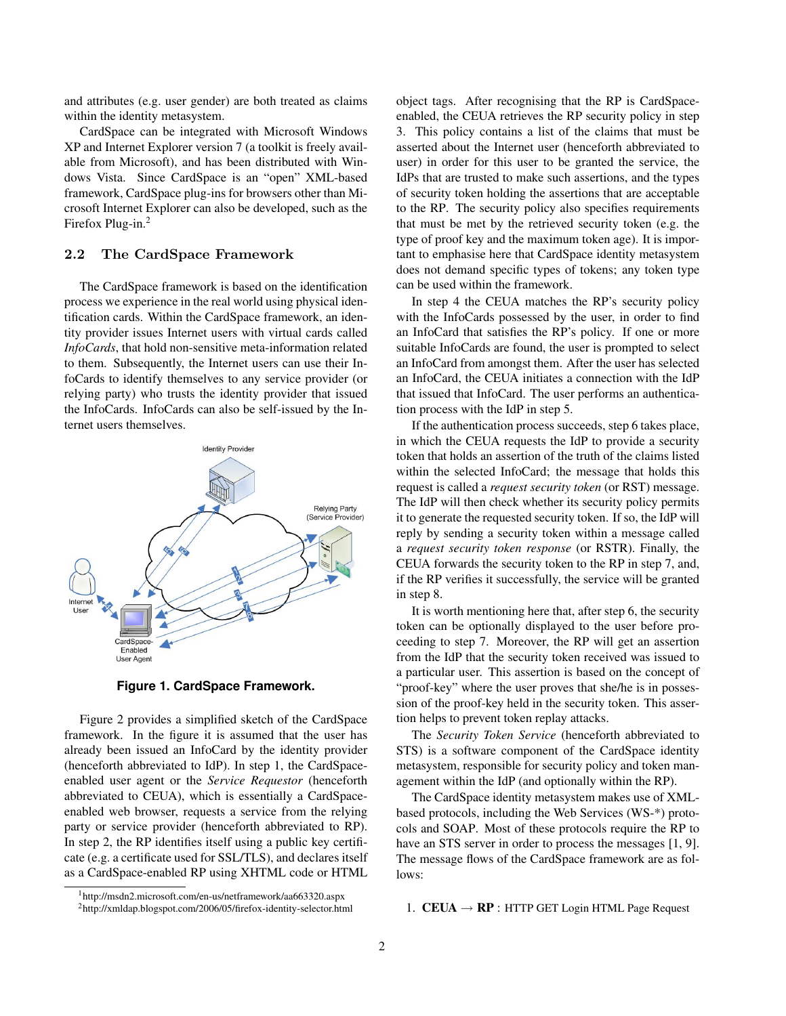and attributes (e.g. user gender) are both treated as claims within the identity metasystem.

CardSpace can be integrated with Microsoft Windows XP and Internet Explorer version 7 (a toolkit is freely available from Microsoft), and has been distributed with Windows Vista. Since CardSpace is an "open" XML-based framework, CardSpace plug-ins for browsers other than Microsoft Internet Explorer can also be developed, such as the Firefox Plug-in.<sup>2</sup>

## 2.2 The CardSpace Framework

The CardSpace framework is based on the identification process we experience in the real world using physical identification cards. Within the CardSpace framework, an identity provider issues Internet users with virtual cards called *InfoCards*, that hold non-sensitive meta-information related to them. Subsequently, the Internet users can use their InfoCards to identify themselves to any service provider (or relying party) who trusts the identity provider that issued the InfoCards. InfoCards can also be self-issued by the Internet users themselves.



**Figure 1. CardSpace Framework.**

Figure 2 provides a simplified sketch of the CardSpace framework. In the figure it is assumed that the user has already been issued an InfoCard by the identity provider (henceforth abbreviated to IdP). In step 1, the CardSpaceenabled user agent or the *Service Requestor* (henceforth abbreviated to CEUA), which is essentially a CardSpaceenabled web browser, requests a service from the relying party or service provider (henceforth abbreviated to RP). In step 2, the RP identifies itself using a public key certificate (e.g. a certificate used for SSL/TLS), and declares itself as a CardSpace-enabled RP using XHTML code or HTML

<sup>1</sup>http://msdn2.microsoft.com/en-us/netframework/aa663320.aspx

object tags. After recognising that the RP is CardSpaceenabled, the CEUA retrieves the RP security policy in step 3. This policy contains a list of the claims that must be asserted about the Internet user (henceforth abbreviated to user) in order for this user to be granted the service, the IdPs that are trusted to make such assertions, and the types of security token holding the assertions that are acceptable to the RP. The security policy also specifies requirements that must be met by the retrieved security token (e.g. the type of proof key and the maximum token age). It is important to emphasise here that CardSpace identity metasystem does not demand specific types of tokens; any token type can be used within the framework.

In step 4 the CEUA matches the RP's security policy with the InfoCards possessed by the user, in order to find an InfoCard that satisfies the RP's policy. If one or more suitable InfoCards are found, the user is prompted to select an InfoCard from amongst them. After the user has selected an InfoCard, the CEUA initiates a connection with the IdP that issued that InfoCard. The user performs an authentication process with the IdP in step 5.

If the authentication process succeeds, step 6 takes place, in which the CEUA requests the IdP to provide a security token that holds an assertion of the truth of the claims listed within the selected InfoCard; the message that holds this request is called a *request security token* (or RST) message. The IdP will then check whether its security policy permits it to generate the requested security token. If so, the IdP will reply by sending a security token within a message called a *request security token response* (or RSTR). Finally, the CEUA forwards the security token to the RP in step 7, and, if the RP verifies it successfully, the service will be granted in step 8.

It is worth mentioning here that, after step 6, the security token can be optionally displayed to the user before proceeding to step 7. Moreover, the RP will get an assertion from the IdP that the security token received was issued to a particular user. This assertion is based on the concept of "proof-key" where the user proves that she/he is in possession of the proof-key held in the security token. This assertion helps to prevent token replay attacks.

The *Security Token Service* (henceforth abbreviated to STS) is a software component of the CardSpace identity metasystem, responsible for security policy and token management within the IdP (and optionally within the RP).

The CardSpace identity metasystem makes use of XMLbased protocols, including the Web Services (WS-\*) protocols and SOAP. Most of these protocols require the RP to have an STS server in order to process the messages [1, 9]. The message flows of the CardSpace framework are as follows:

1. **CEUA**  $\rightarrow$  **RP** : HTTP GET Login HTML Page Request

<sup>2</sup>http://xmldap.blogspot.com/2006/05/firefox-identity-selector.html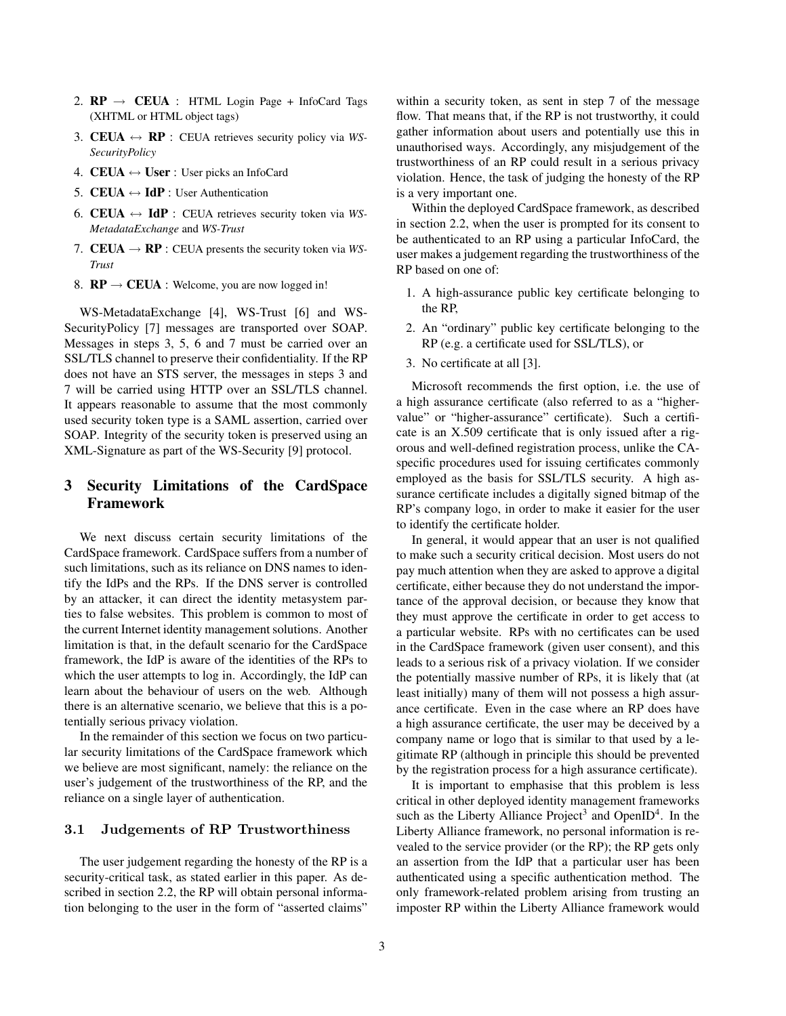- 2.  $RP \rightarrow$  CEUA : HTML Login Page + InfoCard Tags (XHTML or HTML object tags)
- 3. **CEUA**  $\leftrightarrow$  **RP** : CEUA retrieves security policy via WS-*SecurityPolicy*
- 4. **CEUA**  $\leftrightarrow$  **User** : User picks an InfoCard
- 5. **CEUA**  $\leftrightarrow$  **IdP** : User Authentication
- 6. **CEUA**  $\leftrightarrow$  **IdP** : CEUA retrieves security token via WS-*MetadataExchange* and *WS-Trust*
- 7. **CEUA**  $\rightarrow$  **RP** : CEUA presents the security token via WS-*Trust*
- 8.  $RP \rightarrow CEUA$ : Welcome, you are now logged in!

WS-MetadataExchange [4], WS-Trust [6] and WS-SecurityPolicy [7] messages are transported over SOAP. Messages in steps 3, 5, 6 and 7 must be carried over an SSL/TLS channel to preserve their confidentiality. If the RP does not have an STS server, the messages in steps 3 and 7 will be carried using HTTP over an SSL/TLS channel. It appears reasonable to assume that the most commonly used security token type is a SAML assertion, carried over SOAP. Integrity of the security token is preserved using an XML-Signature as part of the WS-Security [9] protocol.

# 3 Security Limitations of the CardSpace Framework

We next discuss certain security limitations of the CardSpace framework. CardSpace suffers from a number of such limitations, such as its reliance on DNS names to identify the IdPs and the RPs. If the DNS server is controlled by an attacker, it can direct the identity metasystem parties to false websites. This problem is common to most of the current Internet identity management solutions. Another limitation is that, in the default scenario for the CardSpace framework, the IdP is aware of the identities of the RPs to which the user attempts to log in. Accordingly, the IdP can learn about the behaviour of users on the web. Although there is an alternative scenario, we believe that this is a potentially serious privacy violation.

In the remainder of this section we focus on two particular security limitations of the CardSpace framework which we believe are most significant, namely: the reliance on the user's judgement of the trustworthiness of the RP, and the reliance on a single layer of authentication.

#### 3.1 Judgements of RP Trustworthiness

The user judgement regarding the honesty of the RP is a security-critical task, as stated earlier in this paper. As described in section 2.2, the RP will obtain personal information belonging to the user in the form of "asserted claims"

within a security token, as sent in step 7 of the message flow. That means that, if the RP is not trustworthy, it could gather information about users and potentially use this in unauthorised ways. Accordingly, any misjudgement of the trustworthiness of an RP could result in a serious privacy violation. Hence, the task of judging the honesty of the RP is a very important one.

Within the deployed CardSpace framework, as described in section 2.2, when the user is prompted for its consent to be authenticated to an RP using a particular InfoCard, the user makes a judgement regarding the trustworthiness of the RP based on one of:

- 1. A high-assurance public key certificate belonging to the RP,
- 2. An "ordinary" public key certificate belonging to the RP (e.g. a certificate used for SSL/TLS), or
- 3. No certificate at all [3].

Microsoft recommends the first option, i.e. the use of a high assurance certificate (also referred to as a "highervalue" or "higher-assurance" certificate). Such a certificate is an X.509 certificate that is only issued after a rigorous and well-defined registration process, unlike the CAspecific procedures used for issuing certificates commonly employed as the basis for SSL/TLS security. A high assurance certificate includes a digitally signed bitmap of the RP's company logo, in order to make it easier for the user to identify the certificate holder.

In general, it would appear that an user is not qualified to make such a security critical decision. Most users do not pay much attention when they are asked to approve a digital certificate, either because they do not understand the importance of the approval decision, or because they know that they must approve the certificate in order to get access to a particular website. RPs with no certificates can be used in the CardSpace framework (given user consent), and this leads to a serious risk of a privacy violation. If we consider the potentially massive number of RPs, it is likely that (at least initially) many of them will not possess a high assurance certificate. Even in the case where an RP does have a high assurance certificate, the user may be deceived by a company name or logo that is similar to that used by a legitimate RP (although in principle this should be prevented by the registration process for a high assurance certificate).

It is important to emphasise that this problem is less critical in other deployed identity management frameworks such as the Liberty Alliance Project<sup>3</sup> and OpenID<sup>4</sup>. In the Liberty Alliance framework, no personal information is revealed to the service provider (or the RP); the RP gets only an assertion from the IdP that a particular user has been authenticated using a specific authentication method. The only framework-related problem arising from trusting an imposter RP within the Liberty Alliance framework would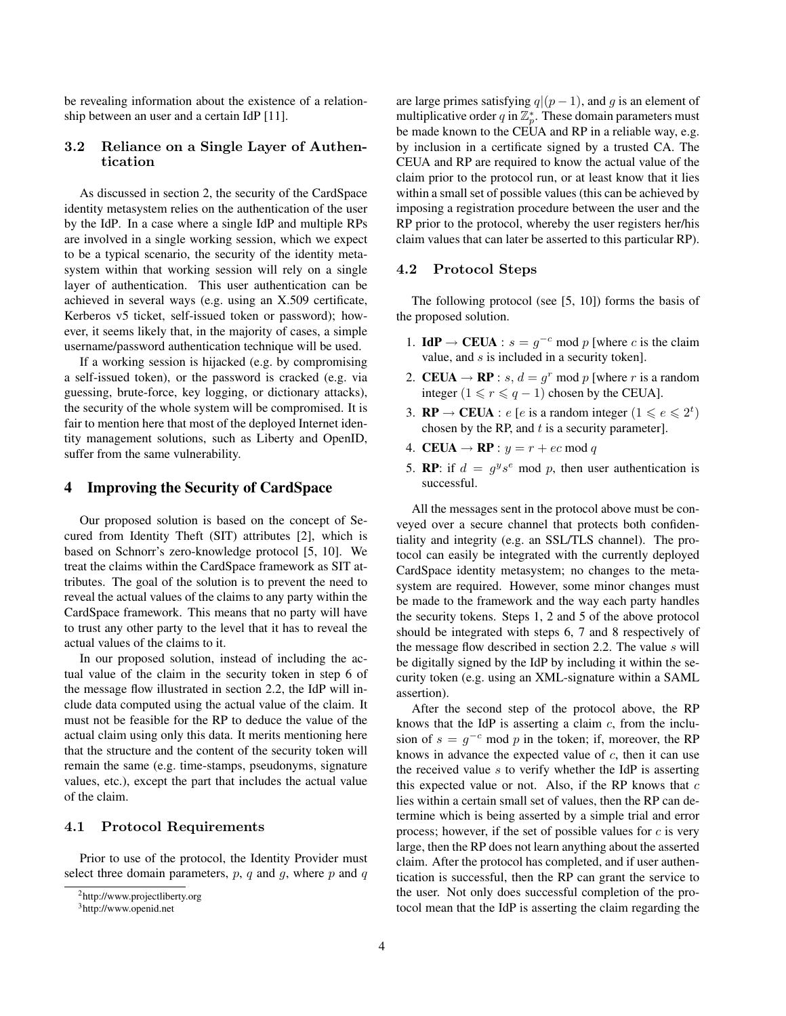be revealing information about the existence of a relationship between an user and a certain IdP [11].

# 3.2 Reliance on a Single Layer of Authentication

As discussed in section 2, the security of the CardSpace identity metasystem relies on the authentication of the user by the IdP. In a case where a single IdP and multiple RPs are involved in a single working session, which we expect to be a typical scenario, the security of the identity metasystem within that working session will rely on a single layer of authentication. This user authentication can be achieved in several ways (e.g. using an X.509 certificate, Kerberos v5 ticket, self-issued token or password); however, it seems likely that, in the majority of cases, a simple username/password authentication technique will be used.

If a working session is hijacked (e.g. by compromising a self-issued token), or the password is cracked (e.g. via guessing, brute-force, key logging, or dictionary attacks), the security of the whole system will be compromised. It is fair to mention here that most of the deployed Internet identity management solutions, such as Liberty and OpenID, suffer from the same vulnerability.

# 4 Improving the Security of CardSpace

Our proposed solution is based on the concept of Secured from Identity Theft (SIT) attributes [2], which is based on Schnorr's zero-knowledge protocol [5, 10]. We treat the claims within the CardSpace framework as SIT attributes. The goal of the solution is to prevent the need to reveal the actual values of the claims to any party within the CardSpace framework. This means that no party will have to trust any other party to the level that it has to reveal the actual values of the claims to it.

In our proposed solution, instead of including the actual value of the claim in the security token in step 6 of the message flow illustrated in section 2.2, the IdP will include data computed using the actual value of the claim. It must not be feasible for the RP to deduce the value of the actual claim using only this data. It merits mentioning here that the structure and the content of the security token will remain the same (e.g. time-stamps, pseudonyms, signature values, etc.), except the part that includes the actual value of the claim.

#### 4.1 Protocol Requirements

Prior to use of the protocol, the Identity Provider must select three domain parameters,  $p$ ,  $q$  and  $q$ , where  $p$  and  $q$ 

are large primes satisfying  $q|(p-1)$ , and g is an element of multiplicative order q in  $\mathbb{Z}_p^*$ . These domain parameters must be made known to the CEUA and RP in a reliable way, e.g. by inclusion in a certificate signed by a trusted CA. The CEUA and RP are required to know the actual value of the claim prior to the protocol run, or at least know that it lies within a small set of possible values (this can be achieved by imposing a registration procedure between the user and the RP prior to the protocol, whereby the user registers her/his claim values that can later be asserted to this particular RP).

# 4.2 Protocol Steps

The following protocol (see [5, 10]) forms the basis of the proposed solution.

- 1. **IdP**  $\rightarrow$  **CEUA** :  $s = g^{-c}$  mod p [where c is the claim value, and s is included in a security token].
- 2. **CEUA**  $\rightarrow$  **RP** : *s*,  $d = g^r \mod p$  [where *r* is a random integer  $(1 \le r \le q - 1)$  chosen by the CEUA].
- 3. **RP**  $\rightarrow$  **CEUA** : *e* [*e* is a random integer  $(1 \le e \le 2^t)$ ] chosen by the RP, and  $t$  is a security parameter].
- 4. **CEUA**  $\rightarrow$  **RP** :  $y = r + ec \mod q$
- 5. **RP**: if  $d = g^y s^e \mod p$ , then user authentication is successful.

All the messages sent in the protocol above must be conveyed over a secure channel that protects both confidentiality and integrity (e.g. an SSL/TLS channel). The protocol can easily be integrated with the currently deployed CardSpace identity metasystem; no changes to the metasystem are required. However, some minor changes must be made to the framework and the way each party handles the security tokens. Steps 1, 2 and 5 of the above protocol should be integrated with steps 6, 7 and 8 respectively of the message flow described in section 2.2. The value s will be digitally signed by the IdP by including it within the security token (e.g. using an XML-signature within a SAML assertion).

After the second step of the protocol above, the RP knows that the IdP is asserting a claim  $c$ , from the inclusion of  $s = g^{-c}$  mod p in the token; if, moreover, the RP knows in advance the expected value of  $c$ , then it can use the received value  $s$  to verify whether the IdP is asserting this expected value or not. Also, if the RP knows that  $c$ lies within a certain small set of values, then the RP can determine which is being asserted by a simple trial and error process; however, if the set of possible values for  $c$  is very large, then the RP does not learn anything about the asserted claim. After the protocol has completed, and if user authentication is successful, then the RP can grant the service to the user. Not only does successful completion of the protocol mean that the IdP is asserting the claim regarding the

<sup>2</sup>http://www.projectliberty.org

<sup>3</sup>http://www.openid.net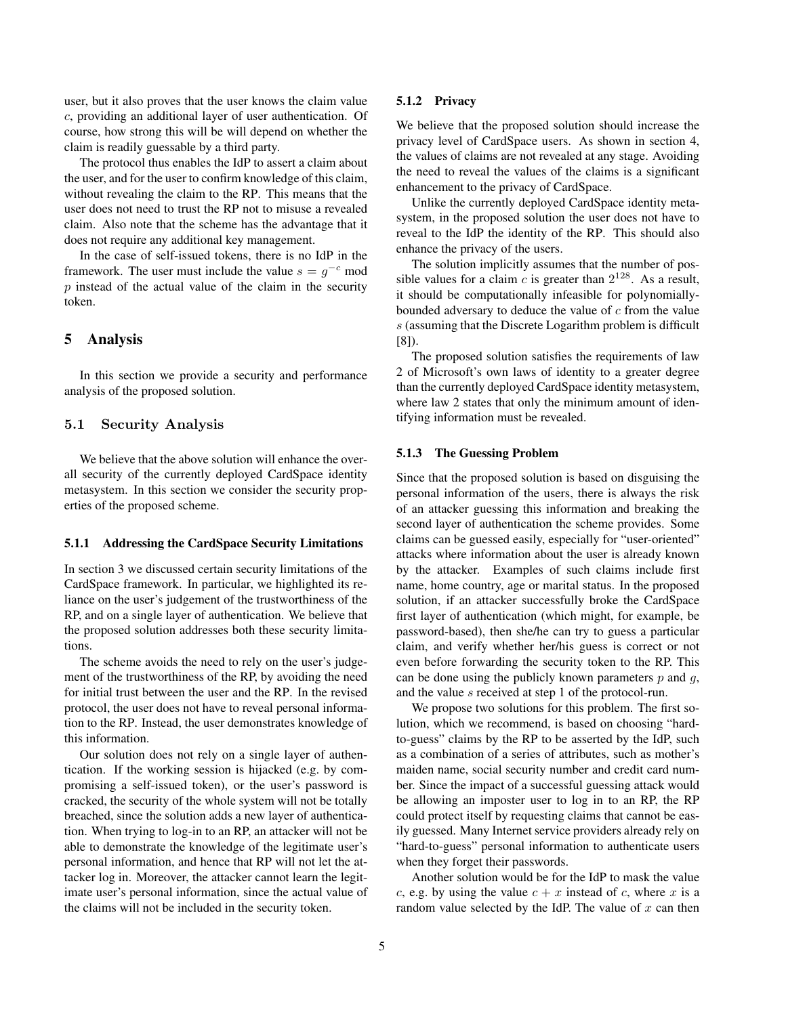user, but it also proves that the user knows the claim value c, providing an additional layer of user authentication. Of course, how strong this will be will depend on whether the claim is readily guessable by a third party.

The protocol thus enables the IdP to assert a claim about the user, and for the user to confirm knowledge of this claim, without revealing the claim to the RP. This means that the user does not need to trust the RP not to misuse a revealed claim. Also note that the scheme has the advantage that it does not require any additional key management.

In the case of self-issued tokens, there is no IdP in the framework. The user must include the value  $s = g^{-c}$  mod  $p$  instead of the actual value of the claim in the security token.

# 5 Analysis

In this section we provide a security and performance analysis of the proposed solution.

#### 5.1 Security Analysis

We believe that the above solution will enhance the overall security of the currently deployed CardSpace identity metasystem. In this section we consider the security properties of the proposed scheme.

#### 5.1.1 Addressing the CardSpace Security Limitations

In section 3 we discussed certain security limitations of the CardSpace framework. In particular, we highlighted its reliance on the user's judgement of the trustworthiness of the RP, and on a single layer of authentication. We believe that the proposed solution addresses both these security limitations.

The scheme avoids the need to rely on the user's judgement of the trustworthiness of the RP, by avoiding the need for initial trust between the user and the RP. In the revised protocol, the user does not have to reveal personal information to the RP. Instead, the user demonstrates knowledge of this information.

Our solution does not rely on a single layer of authentication. If the working session is hijacked (e.g. by compromising a self-issued token), or the user's password is cracked, the security of the whole system will not be totally breached, since the solution adds a new layer of authentication. When trying to log-in to an RP, an attacker will not be able to demonstrate the knowledge of the legitimate user's personal information, and hence that RP will not let the attacker log in. Moreover, the attacker cannot learn the legitimate user's personal information, since the actual value of the claims will not be included in the security token.

#### 5.1.2 Privacy

We believe that the proposed solution should increase the privacy level of CardSpace users. As shown in section 4, the values of claims are not revealed at any stage. Avoiding the need to reveal the values of the claims is a significant enhancement to the privacy of CardSpace.

Unlike the currently deployed CardSpace identity metasystem, in the proposed solution the user does not have to reveal to the IdP the identity of the RP. This should also enhance the privacy of the users.

The solution implicitly assumes that the number of possible values for a claim c is greater than  $2^{128}$ . As a result, it should be computationally infeasible for polynomiallybounded adversary to deduce the value of  $c$  from the value s (assuming that the Discrete Logarithm problem is difficult [8]).

The proposed solution satisfies the requirements of law 2 of Microsoft's own laws of identity to a greater degree than the currently deployed CardSpace identity metasystem, where law 2 states that only the minimum amount of identifying information must be revealed.

#### 5.1.3 The Guessing Problem

Since that the proposed solution is based on disguising the personal information of the users, there is always the risk of an attacker guessing this information and breaking the second layer of authentication the scheme provides. Some claims can be guessed easily, especially for "user-oriented" attacks where information about the user is already known by the attacker. Examples of such claims include first name, home country, age or marital status. In the proposed solution, if an attacker successfully broke the CardSpace first layer of authentication (which might, for example, be password-based), then she/he can try to guess a particular claim, and verify whether her/his guess is correct or not even before forwarding the security token to the RP. This can be done using the publicly known parameters  $p$  and  $q$ , and the value s received at step 1 of the protocol-run.

We propose two solutions for this problem. The first solution, which we recommend, is based on choosing "hardto-guess" claims by the RP to be asserted by the IdP, such as a combination of a series of attributes, such as mother's maiden name, social security number and credit card number. Since the impact of a successful guessing attack would be allowing an imposter user to log in to an RP, the RP could protect itself by requesting claims that cannot be easily guessed. Many Internet service providers already rely on "hard-to-guess" personal information to authenticate users when they forget their passwords.

Another solution would be for the IdP to mask the value c, e.g. by using the value  $c + x$  instead of c, where x is a random value selected by the IdP. The value of  $x$  can then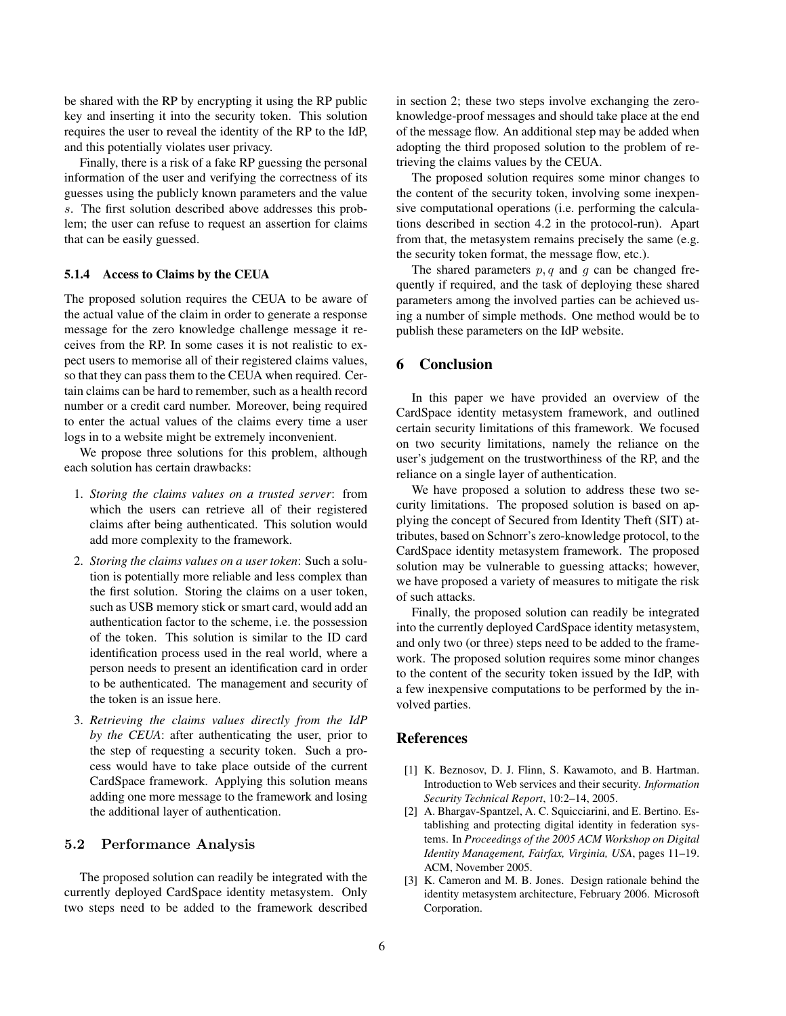be shared with the RP by encrypting it using the RP public key and inserting it into the security token. This solution requires the user to reveal the identity of the RP to the IdP, and this potentially violates user privacy.

Finally, there is a risk of a fake RP guessing the personal information of the user and verifying the correctness of its guesses using the publicly known parameters and the value s. The first solution described above addresses this problem; the user can refuse to request an assertion for claims that can be easily guessed.

#### 5.1.4 Access to Claims by the CEUA

The proposed solution requires the CEUA to be aware of the actual value of the claim in order to generate a response message for the zero knowledge challenge message it receives from the RP. In some cases it is not realistic to expect users to memorise all of their registered claims values, so that they can pass them to the CEUA when required. Certain claims can be hard to remember, such as a health record number or a credit card number. Moreover, being required to enter the actual values of the claims every time a user logs in to a website might be extremely inconvenient.

We propose three solutions for this problem, although each solution has certain drawbacks:

- 1. *Storing the claims values on a trusted server*: from which the users can retrieve all of their registered claims after being authenticated. This solution would add more complexity to the framework.
- 2. *Storing the claims values on a user token*: Such a solution is potentially more reliable and less complex than the first solution. Storing the claims on a user token, such as USB memory stick or smart card, would add an authentication factor to the scheme, i.e. the possession of the token. This solution is similar to the ID card identification process used in the real world, where a person needs to present an identification card in order to be authenticated. The management and security of the token is an issue here.
- 3. *Retrieving the claims values directly from the IdP by the CEUA*: after authenticating the user, prior to the step of requesting a security token. Such a process would have to take place outside of the current CardSpace framework. Applying this solution means adding one more message to the framework and losing the additional layer of authentication.

### 5.2 Performance Analysis

The proposed solution can readily be integrated with the currently deployed CardSpace identity metasystem. Only two steps need to be added to the framework described in section 2; these two steps involve exchanging the zeroknowledge-proof messages and should take place at the end of the message flow. An additional step may be added when adopting the third proposed solution to the problem of retrieving the claims values by the CEUA.

The proposed solution requires some minor changes to the content of the security token, involving some inexpensive computational operations (i.e. performing the calculations described in section 4.2 in the protocol-run). Apart from that, the metasystem remains precisely the same (e.g. the security token format, the message flow, etc.).

The shared parameters  $p, q$  and  $q$  can be changed frequently if required, and the task of deploying these shared parameters among the involved parties can be achieved using a number of simple methods. One method would be to publish these parameters on the IdP website.

#### 6 Conclusion

In this paper we have provided an overview of the CardSpace identity metasystem framework, and outlined certain security limitations of this framework. We focused on two security limitations, namely the reliance on the user's judgement on the trustworthiness of the RP, and the reliance on a single layer of authentication.

We have proposed a solution to address these two security limitations. The proposed solution is based on applying the concept of Secured from Identity Theft (SIT) attributes, based on Schnorr's zero-knowledge protocol, to the CardSpace identity metasystem framework. The proposed solution may be vulnerable to guessing attacks; however, we have proposed a variety of measures to mitigate the risk of such attacks.

Finally, the proposed solution can readily be integrated into the currently deployed CardSpace identity metasystem, and only two (or three) steps need to be added to the framework. The proposed solution requires some minor changes to the content of the security token issued by the IdP, with a few inexpensive computations to be performed by the involved parties.

#### References

- [1] K. Beznosov, D. J. Flinn, S. Kawamoto, and B. Hartman. Introduction to Web services and their security. *Information Security Technical Report*, 10:2–14, 2005.
- [2] A. Bhargav-Spantzel, A. C. Squicciarini, and E. Bertino. Establishing and protecting digital identity in federation systems. In *Proceedings of the 2005 ACM Workshop on Digital Identity Management, Fairfax, Virginia, USA*, pages 11–19. ACM, November 2005.
- [3] K. Cameron and M. B. Jones. Design rationale behind the identity metasystem architecture, February 2006. Microsoft Corporation.